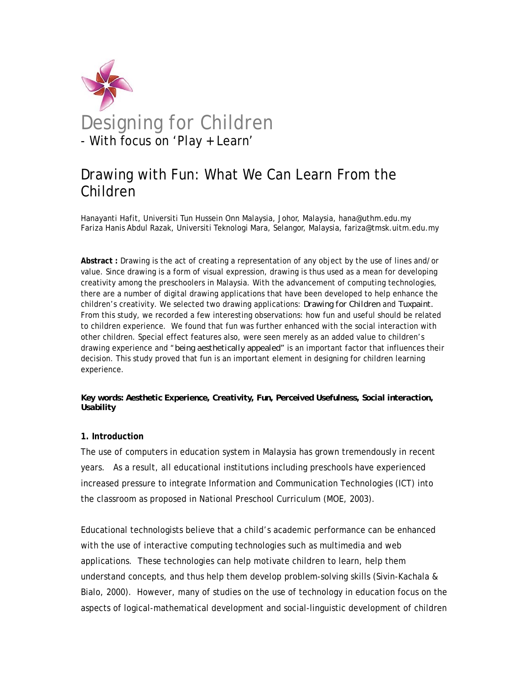

# Drawing with Fun: What We Can Learn From the Children

Hanayanti Hafit, Universiti Tun Hussein Onn Malaysia, Johor, Malaysia, hana@uthm.edu.my Fariza Hanis Abdul Razak, Universiti Teknologi Mara, Selangor, Malaysia, fariza@tmsk.uitm.edu.my

**Abstract :** Drawing is the act of creating a representation of any object by the use of lines and/or value. Since drawing is a form of visual expression, drawing is thus used as a mean for developing creativity among the preschoolers in Malaysia. With the advancement of computing technologies, there are a number of digital drawing applications that have been developed to help enhance the children's creativity. We selected two drawing applications: *Drawing for Children* and *Tuxpaint.* From this study, we recorded a few interesting observations: how fun and useful should be related to children experience. We found that fun was further enhanced with the social interaction with other children. Special effect features also, were seen merely as an added value to children's drawing experience and "*being aesthetically appealed"* is an important factor that influences their decision. This study proved that fun is an important element in designing for children learning experience.

### *Key words: Aesthetic Experience, Creativity, Fun, Perceived Usefulness, Social interaction, Usability*

# **1. Introduction**

The use of computers in education system in Malaysia has grown tremendously in recent years. As a result, all educational institutions including preschools have experienced increased pressure to integrate Information and Communication Technologies (ICT) into the classroom as proposed in National Preschool Curriculum (MOE, 2003).

Educational technologists believe that a child's academic performance can be enhanced with the use of interactive computing technologies such as multimedia and web applications. These technologies can help motivate children to learn, help them understand concepts, and thus help them develop problem-solving skills (Sivin-Kachala & Bialo, 2000). However, many of studies on the use of technology in education focus on the aspects of logical-mathematical development and social-linguistic development of children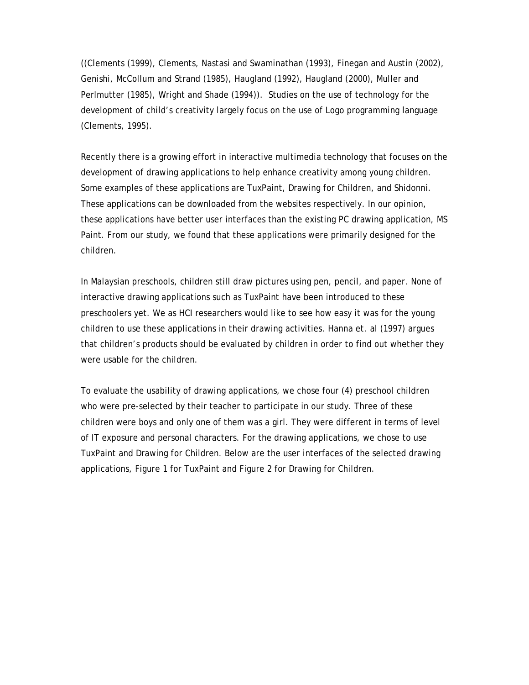((Clements (1999), Clements, Nastasi and Swaminathan (1993), Finegan and Austin (2002), Genishi, McCollum and Strand (1985), Haugland (1992), Haugland (2000), Muller and Perlmutter (1985), Wright and Shade (1994)). Studies on the use of technology for the development of child's creativity largely focus on the use of Logo programming language (Clements, 1995).

Recently there is a growing effort in interactive multimedia technology that focuses on the development of drawing applications to help enhance creativity among young children. Some examples of these applications are TuxPaint, Drawing for Children, and Shidonni. These applications can be downloaded from the websites respectively. In our opinion, these applications have better user interfaces than the existing PC drawing application, MS Paint. From our study, we found that these applications were primarily designed for the children.

In Malaysian preschools, children still draw pictures using pen, pencil, and paper. None of interactive drawing applications such as TuxPaint have been introduced to these preschoolers yet. We as HCI researchers would like to see how easy it was for the young children to use these applications in their drawing activities. Hanna et. al (1997) argues that children's products should be evaluated by children in order to find out whether they were usable for the children.

To evaluate the usability of drawing applications, we chose four (4) preschool children who were pre-selected by their teacher to participate in our study. Three of these children were boys and only one of them was a girl. They were different in terms of level of IT exposure and personal characters. For the drawing applications, we chose to use TuxPaint and Drawing for Children. Below are the user interfaces of the selected drawing applications, Figure 1 for TuxPaint and Figure 2 for Drawing for Children.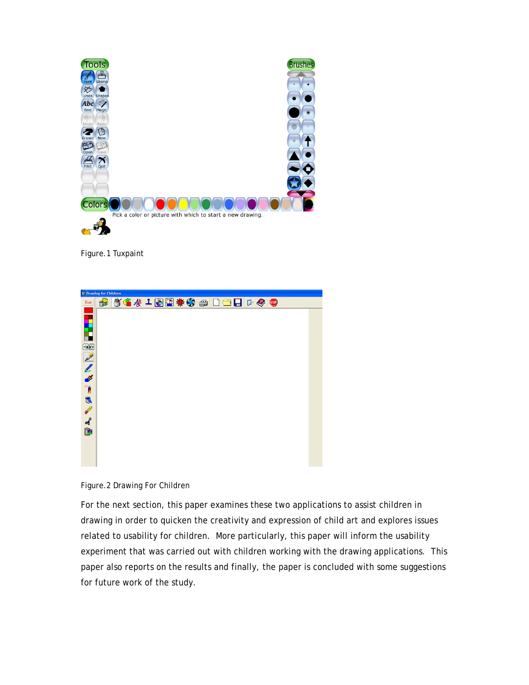

Figure.1 Tuxpaint

| <sup>2</sup> Drawing for Children |  |  |  |  |  |  |  |                                   |  |  |  |  |  |
|-----------------------------------|--|--|--|--|--|--|--|-----------------------------------|--|--|--|--|--|
| font                              |  |  |  |  |  |  |  | <b>8 54410 # \$ @ 0 0 0 0 0 0</b> |  |  |  |  |  |
|                                   |  |  |  |  |  |  |  |                                   |  |  |  |  |  |
|                                   |  |  |  |  |  |  |  |                                   |  |  |  |  |  |
| F                                 |  |  |  |  |  |  |  |                                   |  |  |  |  |  |
| 90                                |  |  |  |  |  |  |  |                                   |  |  |  |  |  |
|                                   |  |  |  |  |  |  |  |                                   |  |  |  |  |  |
|                                   |  |  |  |  |  |  |  |                                   |  |  |  |  |  |
|                                   |  |  |  |  |  |  |  |                                   |  |  |  |  |  |
|                                   |  |  |  |  |  |  |  |                                   |  |  |  |  |  |
|                                   |  |  |  |  |  |  |  |                                   |  |  |  |  |  |
|                                   |  |  |  |  |  |  |  |                                   |  |  |  |  |  |
| ノノメ うめんよ田                         |  |  |  |  |  |  |  |                                   |  |  |  |  |  |
|                                   |  |  |  |  |  |  |  |                                   |  |  |  |  |  |
|                                   |  |  |  |  |  |  |  |                                   |  |  |  |  |  |
|                                   |  |  |  |  |  |  |  |                                   |  |  |  |  |  |
|                                   |  |  |  |  |  |  |  |                                   |  |  |  |  |  |



For the next section, this paper examines these two applications to assist children in drawing in order to quicken the creativity and expression of child art and explores issues related to usability for children. More particularly, this paper will inform the usability experiment that was carried out with children working with the drawing applications. This paper also reports on the results and finally, the paper is concluded with some suggestions for future work of the study.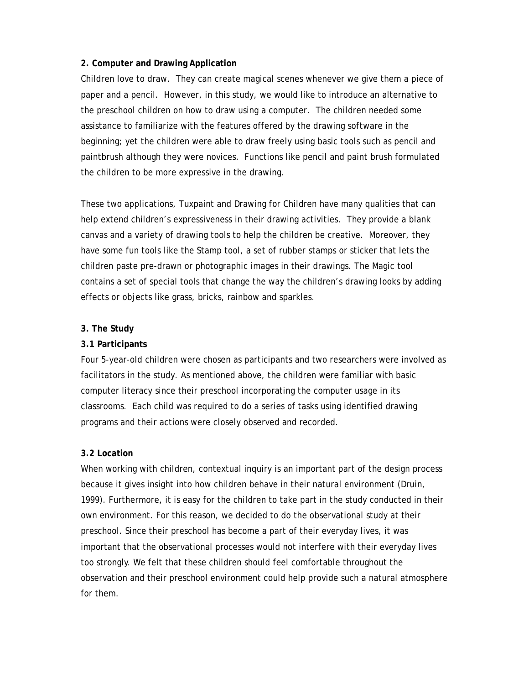# **2. Computer and Drawing Application**

Children love to draw. They can create magical scenes whenever we give them a piece of paper and a pencil. However, in this study, we would like to introduce an alternative to the preschool children on how to draw using a computer. The children needed some assistance to familiarize with the features offered by the drawing software in the beginning; yet the children were able to draw freely using basic tools such as pencil and paintbrush although they were novices. Functions like pencil and paint brush formulated the children to be more expressive in the drawing.

These two applications, Tuxpaint and Drawing for Children have many qualities that can help extend children's expressiveness in their drawing activities. They provide a blank canvas and a variety of drawing tools to help the children be creative. Moreover, they have some fun tools like the Stamp tool, a set of rubber stamps or sticker that lets the children paste pre-drawn or photographic images in their drawings. The Magic tool contains a set of special tools that change the way the children's drawing looks by adding effects or objects like grass, bricks, rainbow and sparkles.

# **3. The Study**

# **3.1 Participants**

Four 5-year-old children were chosen as participants and two researchers were involved as facilitators in the study. As mentioned above, the children were familiar with basic computer literacy since their preschool incorporating the computer usage in its classrooms. Each child was required to do a series of tasks using identified drawing programs and their actions were closely observed and recorded.

#### **3.2 Location**

When working with children, contextual inquiry is an important part of the design process because it gives insight into how children behave in their natural environment (Druin, 1999). Furthermore, it is easy for the children to take part in the study conducted in their own environment. For this reason, we decided to do the observational study at their preschool. Since their preschool has become a part of their everyday lives, it was important that the observational processes would not interfere with their everyday lives too strongly. We felt that these children should feel comfortable throughout the observation and their preschool environment could help provide such a natural atmosphere for them.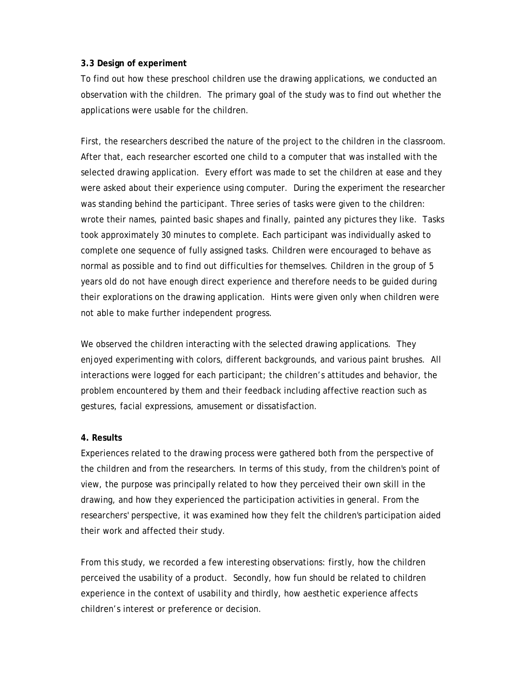# **3.3 Design of experiment**

To find out how these preschool children use the drawing applications, we conducted an observation with the children. The primary goal of the study was to find out whether the applications were usable for the children.

First, the researchers described the nature of the project to the children in the classroom. After that, each researcher escorted one child to a computer that was installed with the selected drawing application. Every effort was made to set the children at ease and they were asked about their experience using computer. During the experiment the researcher was standing behind the participant. Three series of tasks were given to the children: wrote their names, painted basic shapes and finally, painted any pictures they like. Tasks took approximately 30 minutes to complete. Each participant was individually asked to complete one sequence of fully assigned tasks. Children were encouraged to behave as normal as possible and to find out difficulties for themselves. Children in the group of 5 years old do not have enough direct experience and therefore needs to be guided during their explorations on the drawing application. Hints were given only when children were not able to make further independent progress.

We observed the children interacting with the selected drawing applications. They enjoyed experimenting with colors, different backgrounds, and various paint brushes. All interactions were logged for each participant; the children's attitudes and behavior, the problem encountered by them and their feedback including affective reaction such as gestures, facial expressions, amusement or dissatisfaction.

#### **4. Results**

Experiences related to the drawing process were gathered both from the perspective of the children and from the researchers. In terms of this study, from the children's point of view, the purpose was principally related to how they perceived their own skill in the drawing, and how they experienced the participation activities in general. From the researchers' perspective, it was examined how they felt the children's participation aided their work and affected their study.

From this study, we recorded a few interesting observations: firstly, how the children perceived the usability of a product. Secondly, how fun should be related to children experience in the context of usability and thirdly, how aesthetic experience affects children's interest or preference or decision.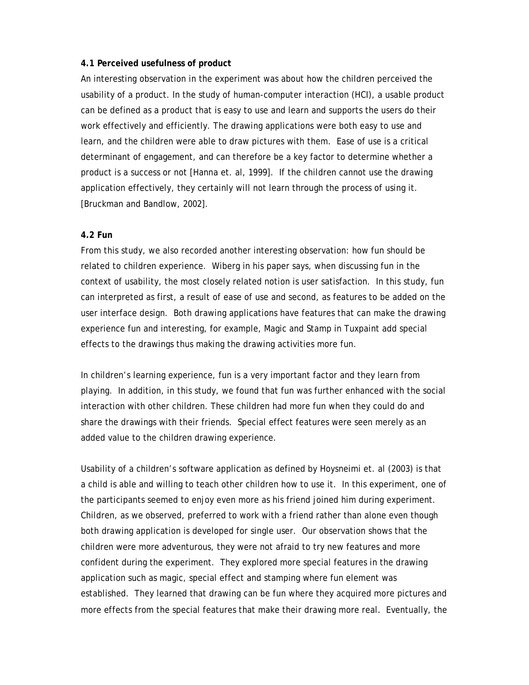#### **4.1 Perceived usefulness of product**

An interesting observation in the experiment was about how the children perceived the usability of a product. In the study of human-computer interaction (HCI), a usable product can be defined as a product that is easy to use and learn and supports the users do their work effectively and efficiently. The drawing applications were both easy to use and learn, and the children were able to draw pictures with them. Ease of use is a critical determinant of engagement, and can therefore be a key factor to determine whether a product is a success or not [Hanna et. al, 1999]. If the children cannot use the drawing application effectively, they certainly will not learn through the process of using it. [Bruckman and Bandlow, 2002].

# **4.2 Fun**

From this study, we also recorded another interesting observation: how fun should be related to children experience. Wiberg in his paper says, when discussing fun in the context of usability, the most closely related notion is user satisfaction. In this study, fun can interpreted as first, a result of ease of use and second, as features to be added on the user interface design. Both drawing applications have features that can make the drawing experience fun and interesting, for example, Magic and Stamp in Tuxpaint add special effects to the drawings thus making the drawing activities more fun.

In children's learning experience, fun is a very important factor and they learn from playing. In addition, in this study, we found that fun was further enhanced with the social interaction with other children. These children had more fun when they could do and share the drawings with their friends. Special effect features were seen merely as an added value to the children drawing experience.

Usability of a children's software application as defined by Hoysneimi et. al (2003) is that a child is able and willing to teach other children how to use it. In this experiment, one of the participants seemed to enjoy even more as his friend joined him during experiment. Children, as we observed, preferred to work with a friend rather than alone even though both drawing application is developed for single user. Our observation shows that the children were more adventurous, they were not afraid to try new features and more confident during the experiment. They explored more special features in the drawing application such as magic, special effect and stamping where fun element was established. They learned that drawing can be fun where they acquired more pictures and more effects from the special features that make their drawing more real. Eventually, the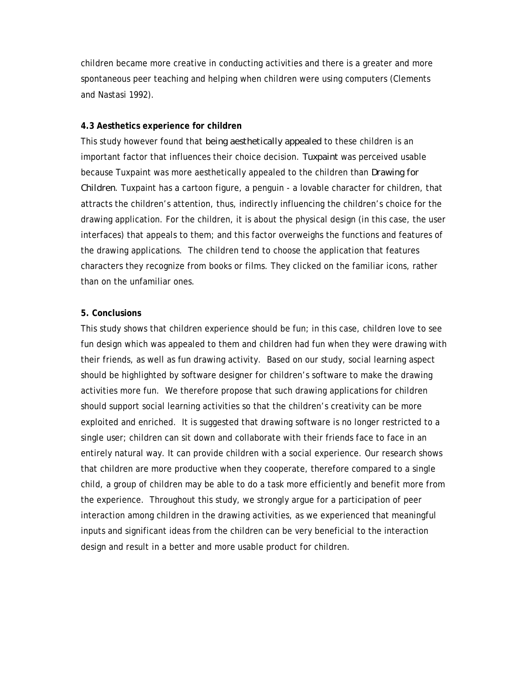children became more creative in conducting activities and there is a greater and more spontaneous peer teaching and helping when children were using computers (Clements and Nastasi 1992).

# **4.3 Aesthetics experience for children**

This study however found that *being aesthetically appealed* to these children is an important factor that influences their choice decision. *Tuxpaint* was perceived usable because Tuxpaint was more aesthetically appealed to the children than *Drawing for Children*. Tuxpaint has a cartoon figure, a penguin - a lovable character for children, that attracts the children's attention, thus, indirectly influencing the children's choice for the drawing application. For the children, it is about the physical design (in this case, the user interfaces) that appeals to them; and this factor overweighs the functions and features of the drawing applications. The children tend to choose the application that features characters they recognize from books or films. They clicked on the familiar icons, rather than on the unfamiliar ones.

#### **5. Conclusions**

This study shows that children experience should be fun; in this case, children love to see fun design which was appealed to them and children had fun when they were drawing with their friends, as well as fun drawing activity. Based on our study, social learning aspect should be highlighted by software designer for children's software to make the drawing activities more fun. We therefore propose that such drawing applications for children should support social learning activities so that the children's creativity can be more exploited and enriched. It is suggested that drawing software is no longer restricted to a single user; children can sit down and collaborate with their friends face to face in an entirely natural way. It can provide children with a social experience. Our research shows that children are more productive when they cooperate, therefore compared to a single child, a group of children may be able to do a task more efficiently and benefit more from the experience. Throughout this study, we strongly argue for a participation of peer interaction among children in the drawing activities, as we experienced that meaningful inputs and significant ideas from the children can be very beneficial to the interaction design and result in a better and more usable product for children.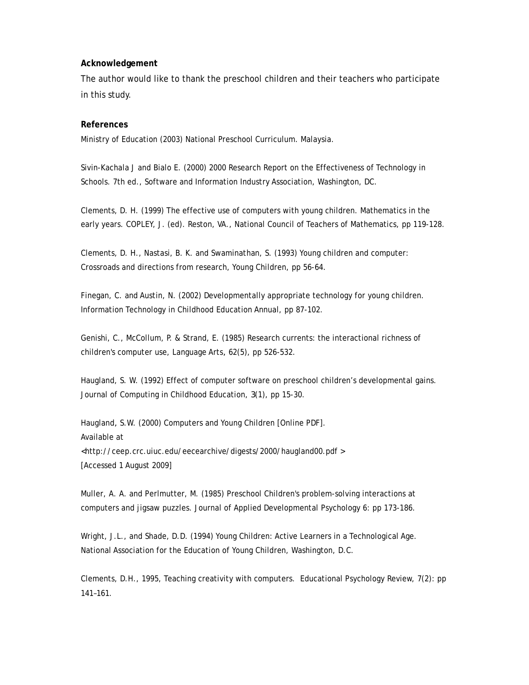#### **Acknowledgement**

The author would like to thank the preschool children and their teachers who participate in this study.

#### **References**

Ministry of Education (2003) National Preschool Curriculum. Malaysia.

Sivin-Kachala J and Bialo E. (2000) 2000 Research Report on the Effectiveness of Technology in Schools. 7th ed., Software and Information Industry Association, Washington, DC.

Clements, D. H. (1999) The effective use of computers with young children. Mathematics in the early years. COPLEY, J. (ed). Reston, VA., National Council of Teachers of Mathematics, pp 119-128.

Clements, D. H., Nastasi, B. K. and Swaminathan, S. (1993) Young children and computer: Crossroads and directions from research, Young Children, pp 56-64.

Finegan, C. and Austin, N. (2002) Developmentally appropriate technology for young children. Information Technology in Childhood Education Annual, pp 87-102.

Genishi, C., McCollum, P. & Strand, E. (1985) Research currents: the interactional richness of children's computer use, Language Arts*,* 62(5), pp 526-532.

Haugland, S. W. (1992) Effect of computer software on preschool children's developmental gains. Journal of Computing in Childhood Education, *3*(1), pp 15-30.

Haugland*,* S.W. (2000) Computers and Young Children [Online PDF]. Available at <http://ceep.crc.uiuc.edu/eecearchive/digests/2000/haugland00.pdf > [Accessed 1 August 2009]

Muller, A. A. and Perlmutter, M. (1985) Preschool Children's problem-solving interactions at computers and jigsaw puzzles. Journal of Applied Developmental Psychology 6: pp 173-186.

Wright, J.L., and Shade, D.D. (1994) Young Children: Active Learners in a Technological Age. National Association for the Education of Young Children, Washington, D.C.

Clements, D.H., 1995, Teaching creativity with computers. Educational Psychology Review, 7(2): pp 141–161.